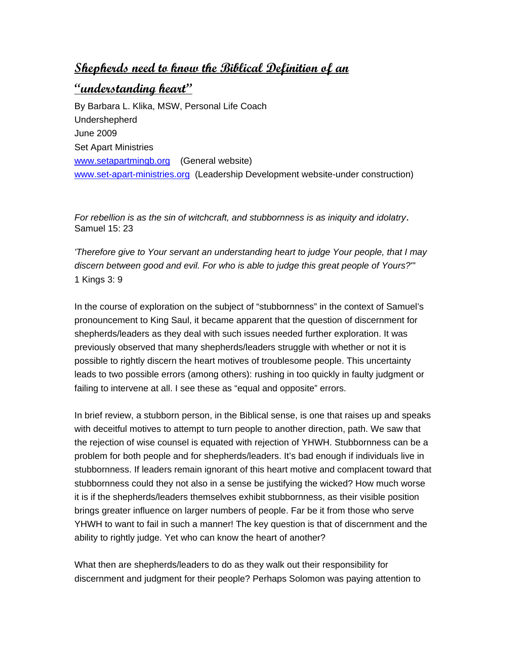## **Shepherds need to know the Biblical Definition of an**

## **"understanding heart"**

By Barbara L. Klika, MSW, Personal Life Coach Undershepherd June 2009 Set Apart Ministries [www.setapartmingb.org](http://www.setapartmingb.org/) (General website) [www.set-apart-ministries.org](http://www.set-apart-ministries.org/) (Leadership Development website-under construction)

*For rebellion is as the sin of witchcraft, and stubbornness is as iniquity and idolatry*. Samuel 15: 23

*'Therefore give to Your servant an understanding heart to judge Your people, that I may discern between good and evil. For who is able to judge this great people of Yours?*'" 1 Kings 3: 9

In the course of exploration on the subject of "stubbornness" in the context of Samuel's pronouncement to King Saul, it became apparent that the question of discernment for shepherds/leaders as they deal with such issues needed further exploration. It was previously observed that many shepherds/leaders struggle with whether or not it is possible to rightly discern the heart motives of troublesome people. This uncertainty leads to two possible errors (among others): rushing in too quickly in faulty judgment or failing to intervene at all. I see these as "equal and opposite" errors.

In brief review, a stubborn person, in the Biblical sense, is one that raises up and speaks with deceitful motives to attempt to turn people to another direction, path. We saw that the rejection of wise counsel is equated with rejection of YHWH. Stubbornness can be a problem for both people and for shepherds/leaders. It's bad enough if individuals live in stubbornness. If leaders remain ignorant of this heart motive and complacent toward that stubbornness could they not also in a sense be justifying the wicked? How much worse it is if the shepherds/leaders themselves exhibit stubbornness, as their visible position brings greater influence on larger numbers of people. Far be it from those who serve YHWH to want to fail in such a manner! The key question is that of discernment and the ability to rightly judge. Yet who can know the heart of another?

What then are shepherds/leaders to do as they walk out their responsibility for discernment and judgment for their people? Perhaps Solomon was paying attention to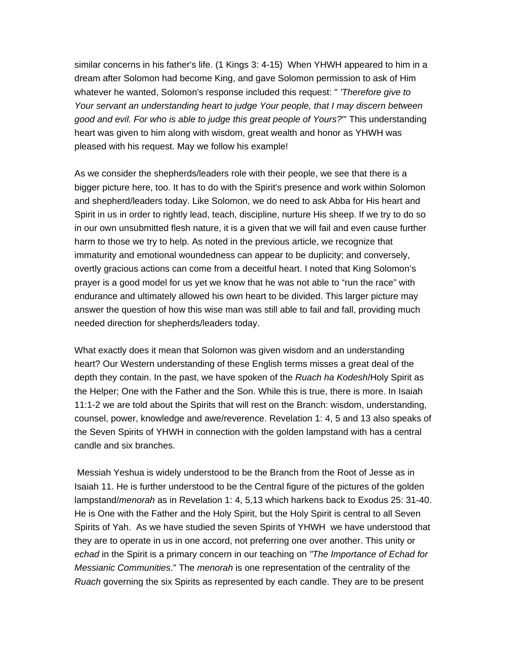similar concerns in his father's life. (1 Kings 3: 4-15) When YHWH appeared to him in a dream after Solomon had become King, and gave Solomon permission to ask of Him whatever he wanted, Solomon's response included this request: " *'Therefore give to Your servant an understanding heart to judge Your people, that I may discern between good and evil. For who is able to judge this great people of Yours?*'" This understanding heart was given to him along with wisdom, great wealth and honor as YHWH was pleased with his request. May we follow his example!

As we consider the shepherds/leaders role with their people, we see that there is a bigger picture here, too. It has to do with the Spirit's presence and work within Solomon and shepherd/leaders today. Like Solomon, we do need to ask Abba for His heart and Spirit in us in order to rightly lead, teach, discipline, nurture His sheep. If we try to do so in our own unsubmitted flesh nature, it is a given that we will fail and even cause further harm to those we try to help. As noted in the previous article, we recognize that immaturity and emotional woundedness can appear to be duplicity; and conversely, overtly gracious actions can come from a deceitful heart. I noted that King Solomon's prayer is a good model for us yet we know that he was not able to "run the race" with endurance and ultimately allowed his own heart to be divided. This larger picture may answer the question of how this wise man was still able to fail and fall, providing much needed direction for shepherds/leaders today.

What exactly does it mean that Solomon was given wisdom and an understanding heart? Our Western understanding of these English terms misses a great deal of the depth they contain. In the past, we have spoken of the *Ruach ha Kodesh*/Holy Spirit as the Helper; One with the Father and the Son. While this is true, there is more. In Isaiah 11:1-2 we are told about the Spirits that will rest on the Branch: wisdom, understanding, counsel, power, knowledge and awe/reverence. Revelation 1: 4, 5 and 13 also speaks of the Seven Spirits of YHWH in connection with the golden lampstand with has a central candle and six branches.

 Messiah Yeshua is widely understood to be the Branch from the Root of Jesse as in Isaiah 11. He is further understood to be the Central figure of the pictures of the golden lampstand/*menorah* as in Revelation 1: 4, 5,13 which harkens back to Exodus 25: 31-40. He is One with the Father and the Holy Spirit, but the Holy Spirit is central to all Seven Spirits of Yah. As we have studied the seven Spirits of YHWH we have understood that they are to operate in us in one accord, not preferring one over another. This unity or *echad* in the Spirit is a primary concern in our teaching on *"The Importance of Echad for Messianic Communities*." The *menorah* is one representation of the centrality of the *Ruach* governing the six Spirits as represented by each candle. They are to be present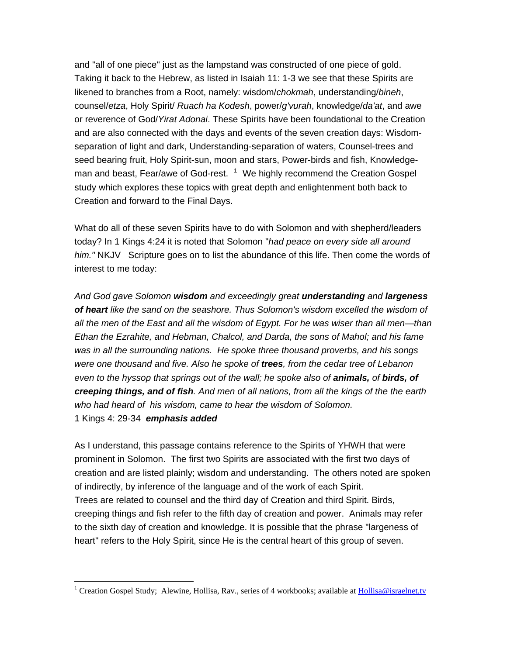and "all of one piece" just as the lampstand was constructed of one piece of gold. Taking it back to the Hebrew, as listed in Isaiah 11: 1-3 we see that these Spirits are likened to branches from a Root, namely: wisdom/*chokmah*, understanding/*bineh*, counsel/*etza*, Holy Spirit/ *Ruach ha Kodesh*, power/*g'vurah*, knowledge/*da'at*, and awe or reverence of God/*Yirat Adonai*. These Spirits have been foundational to the Creation and are also connected with the days and events of the seven creation days: Wisdomseparation of light and dark, Understanding-separation of waters, Counsel-trees and seed bearing fruit, Holy Spirit-sun, moon and stars, Power-birds and fish, Knowledgeman and beast, Fear/awe of God-rest.  $1$  We highly recommend the Creation Gospel study which explores these topics with great depth and enlightenment both back to Creation and forward to the Final Days.

What do all of these seven Spirits have to do with Solomon and with shepherd/leaders today? In 1 Kings 4:24 it is noted that Solomon "*had peace on every side all around him."* NKJVScripture goes on to list the abundance of this life. Then come the words of interest to me today:

*And God gave Solomon wisdom and exceedingly great understanding and largeness of heart like the sand on the seashore. Thus Solomon's wisdom excelled the wisdom of all the men of the East and all the wisdom of Egypt. For he was wiser than all men—than Ethan the Ezrahite, and Hebman, Chalcol, and Darda, the sons of Mahol; and his fame was in all the surrounding nations. He spoke three thousand proverbs, and his songs were one thousand and five. Also he spoke of trees, from the cedar tree of Lebanon even to the hyssop that springs out of the wall; he spoke also of animals, of birds, of creeping things, and of fish. And men of all nations, from all the kings of the the earth who had heard of his wisdom, came to hear the wisdom of Solomon.*  1 Kings 4: 29-34 *emphasis added*

As I understand, this passage contains reference to the Spirits of YHWH that were prominent in Solomon. The first two Spirits are associated with the first two days of creation and are listed plainly; wisdom and understanding. The others noted are spoken of indirectly, by inference of the language and of the work of each Spirit. Trees are related to counsel and the third day of Creation and third Spirit. Birds, creeping things and fish refer to the fifth day of creation and power. Animals may refer to the sixth day of creation and knowledge. It is possible that the phrase "largeness of heart" refers to the Holy Spirit, since He is the central heart of this group of seven.

 $\overline{a}$ 

<span id="page-2-0"></span><sup>&</sup>lt;sup>1</sup> Creation Gospel Study; Alewine, Hollisa, Rav., series of 4 workbooks; available at **Hollisa@israelnet.tv**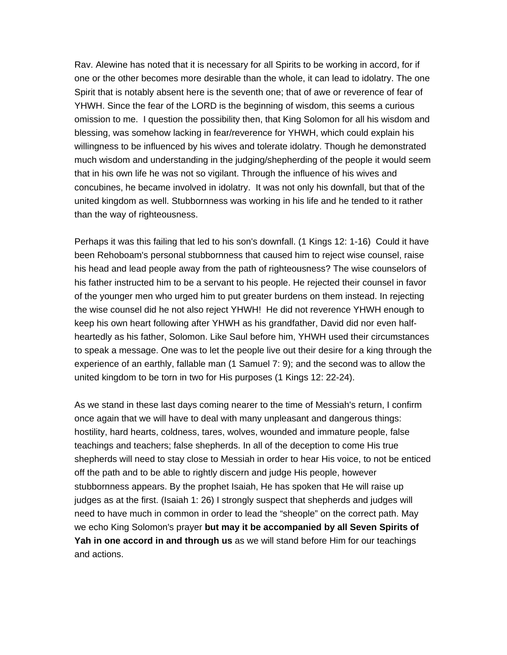Rav. Alewine has noted that it is necessary for all Spirits to be working in accord, for if one or the other becomes more desirable than the whole, it can lead to idolatry. The one Spirit that is notably absent here is the seventh one; that of awe or reverence of fear of YHWH. Since the fear of the LORD is the beginning of wisdom, this seems a curious omission to me. I question the possibility then, that King Solomon for all his wisdom and blessing, was somehow lacking in fear/reverence for YHWH, which could explain his willingness to be influenced by his wives and tolerate idolatry. Though he demonstrated much wisdom and understanding in the judging/shepherding of the people it would seem that in his own life he was not so vigilant. Through the influence of his wives and concubines, he became involved in idolatry. It was not only his downfall, but that of the united kingdom as well. Stubbornness was working in his life and he tended to it rather than the way of righteousness.

Perhaps it was this failing that led to his son's downfall. (1 Kings 12: 1-16) Could it have been Rehoboam's personal stubbornness that caused him to reject wise counsel, raise his head and lead people away from the path of righteousness? The wise counselors of his father instructed him to be a servant to his people. He rejected their counsel in favor of the younger men who urged him to put greater burdens on them instead. In rejecting the wise counsel did he not also reject YHWH! He did not reverence YHWH enough to keep his own heart following after YHWH as his grandfather, David did nor even halfheartedly as his father, Solomon. Like Saul before him, YHWH used their circumstances to speak a message. One was to let the people live out their desire for a king through the experience of an earthly, fallable man (1 Samuel 7: 9); and the second was to allow the united kingdom to be torn in two for His purposes (1 Kings 12: 22-24).

As we stand in these last days coming nearer to the time of Messiah's return, I confirm once again that we will have to deal with many unpleasant and dangerous things: hostility, hard hearts, coldness, tares, wolves, wounded and immature people, false teachings and teachers; false shepherds. In all of the deception to come His true shepherds will need to stay close to Messiah in order to hear His voice, to not be enticed off the path and to be able to rightly discern and judge His people, however stubbornness appears. By the prophet Isaiah, He has spoken that He will raise up judges as at the first. (Isaiah 1: 26) I strongly suspect that shepherds and judges will need to have much in common in order to lead the "sheople" on the correct path. May we echo King Solomon's prayer **but may it be accompanied by all Seven Spirits of Yah in one accord in and through us** as we will stand before Him for our teachings and actions.